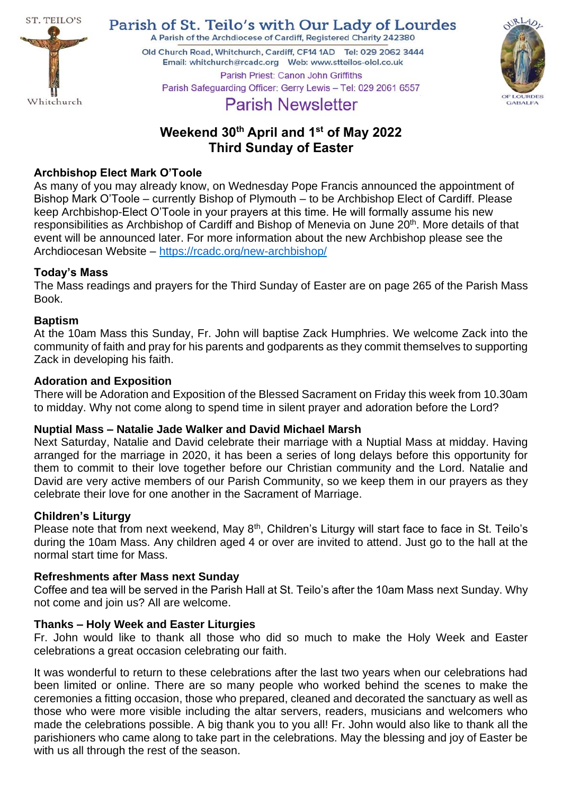

Parish of St. Teilo's with Our Lady of Lourdes A Parish of the Archdiocese of Cardiff, Registered Charity 242380

Old Church Road, Whitchurch, Cardiff, CF14 1AD Tel: 029 2062 3444 





# **Parish Newsletter**

## **Weekend 30th April and 1st of May 2022 Third Sunday of Easter**

## **Archbishop Elect Mark O'Toole**

As many of you may already know, on Wednesday Pope Francis announced the appointment of Bishop Mark O'Toole – currently Bishop of Plymouth – to be Archbishop Elect of Cardiff. Please keep Archbishop-Elect O'Toole in your prayers at this time. He will formally assume his new responsibilities as Archbishop of Cardiff and Bishop of Menevia on June 20<sup>th</sup>. More details of that event will be announced later. For more information about the new Archbishop please see the Archdiocesan Website – <https://rcadc.org/new-archbishop/>

## **Today's Mass**

The Mass readings and prayers for the Third Sunday of Easter are on page 265 of the Parish Mass Book.

## **Baptism**

At the 10am Mass this Sunday, Fr. John will baptise Zack Humphries. We welcome Zack into the community of faith and pray for his parents and godparents as they commit themselves to supporting Zack in developing his faith.

## **Adoration and Exposition**

There will be Adoration and Exposition of the Blessed Sacrament on Friday this week from 10.30am to midday. Why not come along to spend time in silent prayer and adoration before the Lord?

## **Nuptial Mass – Natalie Jade Walker and David Michael Marsh**

Next Saturday, Natalie and David celebrate their marriage with a Nuptial Mass at midday. Having arranged for the marriage in 2020, it has been a series of long delays before this opportunity for them to commit to their love together before our Christian community and the Lord. Natalie and David are very active members of our Parish Community, so we keep them in our prayers as they celebrate their love for one another in the Sacrament of Marriage.

## **Children's Liturgy**

Please note that from next weekend, May 8<sup>th</sup>, Children's Liturgy will start face to face in St. Teilo's during the 10am Mass. Any children aged 4 or over are invited to attend. Just go to the hall at the normal start time for Mass.

## **Refreshments after Mass next Sunday**

Coffee and tea will be served in the Parish Hall at St. Teilo's after the 10am Mass next Sunday. Why not come and join us? All are welcome.

## **Thanks – Holy Week and Easter Liturgies**

Fr. John would like to thank all those who did so much to make the Holy Week and Easter celebrations a great occasion celebrating our faith.

It was wonderful to return to these celebrations after the last two years when our celebrations had been limited or online. There are so many people who worked behind the scenes to make the ceremonies a fitting occasion, those who prepared, cleaned and decorated the sanctuary as well as those who were more visible including the altar servers, readers, musicians and welcomers who made the celebrations possible. A big thank you to you all! Fr. John would also like to thank all the parishioners who came along to take part in the celebrations. May the blessing and joy of Easter be with us all through the rest of the season.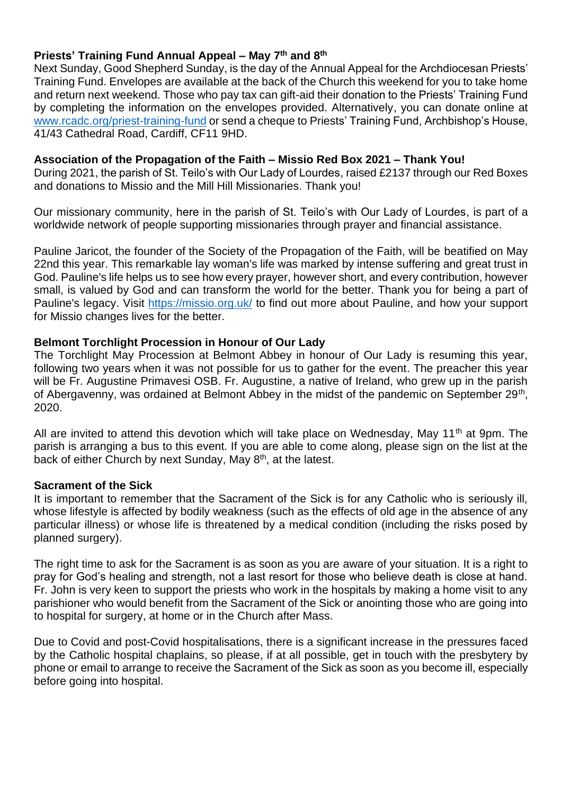#### **Priests' Training Fund Annual Appeal – May 7 th and 8th**

Next Sunday, Good Shepherd Sunday, is the day of the Annual Appeal for the Archdiocesan Priests' Training Fund. Envelopes are available at the back of the Church this weekend for you to take home and return next weekend. Those who pay tax can gift-aid their donation to the Priests' Training Fund by completing the information on the envelopes provided. Alternatively, you can donate online at [www.rcadc.org/priest-training-fund](http://www.rcadc.org/priest-training-fund) or send a cheque to Priests' Training Fund, Archbishop's House, 41/43 Cathedral Road, Cardiff, CF11 9HD.

#### **Association of the Propagation of the Faith – Missio Red Box 2021 – Thank You!**

During 2021, the parish of St. Teilo's with Our Lady of Lourdes, raised £2137 through our Red Boxes and donations to Missio and the Mill Hill Missionaries. Thank you!

Our missionary community, here in the parish of St. Teilo's with Our Lady of Lourdes, is part of a worldwide network of people supporting missionaries through prayer and financial assistance.

Pauline Jaricot, the founder of the Society of the Propagation of the Faith, will be beatified on May 22nd this year. This remarkable lay woman's life was marked by intense suffering and great trust in God. Pauline's life helps us to see how every prayer, however short, and every contribution, however small, is valued by God and can transform the world for the better. Thank you for being a part of Pauline's legacy. Visit<https://missio.org.uk/> to find out more about Pauline, and how your support for Missio changes lives for the better.

#### **Belmont Torchlight Procession in Honour of Our Lady**

The Torchlight May Procession at Belmont Abbey in honour of Our Lady is resuming this year, following two years when it was not possible for us to gather for the event. The preacher this year will be Fr. Augustine Primavesi OSB. Fr. Augustine, a native of Ireland, who grew up in the parish of Abergavenny, was ordained at Belmont Abbey in the midst of the pandemic on September 29<sup>th</sup>, 2020.

All are invited to attend this devotion which will take place on Wednesday, May 11<sup>th</sup> at 9pm. The parish is arranging a bus to this event. If you are able to come along, please sign on the list at the back of either Church by next Sunday, May 8<sup>th</sup>, at the latest.

#### **Sacrament of the Sick**

It is important to remember that the Sacrament of the Sick is for any Catholic who is seriously ill, whose lifestyle is affected by bodily weakness (such as the effects of old age in the absence of any particular illness) or whose life is threatened by a medical condition (including the risks posed by planned surgery).

The right time to ask for the Sacrament is as soon as you are aware of your situation. It is a right to pray for God's healing and strength, not a last resort for those who believe death is close at hand. Fr. John is very keen to support the priests who work in the hospitals by making a home visit to any parishioner who would benefit from the Sacrament of the Sick or anointing those who are going into to hospital for surgery, at home or in the Church after Mass.

Due to Covid and post-Covid hospitalisations, there is a significant increase in the pressures faced by the Catholic hospital chaplains, so please, if at all possible, get in touch with the presbytery by phone or email to arrange to receive the Sacrament of the Sick as soon as you become ill, especially before going into hospital.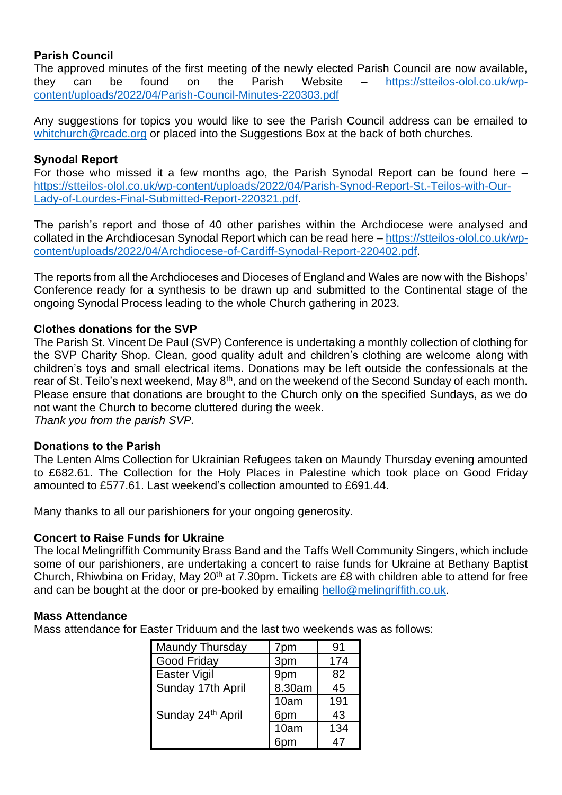### **Parish Council**

The approved minutes of the first meeting of the newly elected Parish Council are now available, they can be found on the Parish Website – [https://stteilos-olol.co.uk/wp](https://stteilos-olol.co.uk/wp-content/uploads/2022/04/Parish-Council-Minutes-220303.pdf)[content/uploads/2022/04/Parish-Council-Minutes-220303.pdf](https://stteilos-olol.co.uk/wp-content/uploads/2022/04/Parish-Council-Minutes-220303.pdf)

Any suggestions for topics you would like to see the Parish Council address can be emailed to [whitchurch@rcadc.org](mailto:whitchurch@rcadc.org) or placed into the Suggestions Box at the back of both churches.

#### **Synodal Report**

For those who missed it a few months ago, the Parish Synodal Report can be found here – [https://stteilos-olol.co.uk/wp-content/uploads/2022/04/Parish-Synod-Report-St.-Teilos-with-Our-](https://stteilos-olol.co.uk/wp-content/uploads/2022/04/Parish-Synod-Report-St.-Teilos-with-Our-Lady-of-Lourdes-Final-Submitted-Report-220321.pdf)[Lady-of-Lourdes-Final-Submitted-Report-220321.pdf.](https://stteilos-olol.co.uk/wp-content/uploads/2022/04/Parish-Synod-Report-St.-Teilos-with-Our-Lady-of-Lourdes-Final-Submitted-Report-220321.pdf)

The parish's report and those of 40 other parishes within the Archdiocese were analysed and collated in the Archdiocesan Synodal Report which can be read here – [https://stteilos-olol.co.uk/wp](https://stteilos-olol.co.uk/wp-content/uploads/2022/04/Archdiocese-of-Cardiff-Synodal-Report-220402.pdf)[content/uploads/2022/04/Archdiocese-of-Cardiff-Synodal-Report-220402.pdf.](https://stteilos-olol.co.uk/wp-content/uploads/2022/04/Archdiocese-of-Cardiff-Synodal-Report-220402.pdf)

The reports from all the Archdioceses and Dioceses of England and Wales are now with the Bishops' Conference ready for a synthesis to be drawn up and submitted to the Continental stage of the ongoing Synodal Process leading to the whole Church gathering in 2023.

#### **Clothes donations for the SVP**

The Parish St. Vincent De Paul (SVP) Conference is undertaking a monthly collection of clothing for the SVP Charity Shop. Clean, good quality adult and children's clothing are welcome along with children's toys and small electrical items. Donations may be left outside the confessionals at the rear of St. Teilo's next weekend, May 8<sup>th</sup>, and on the weekend of the Second Sunday of each month. Please ensure that donations are brought to the Church only on the specified Sundays, as we do not want the Church to become cluttered during the week.

*Thank you from the parish SVP.*

#### **Donations to the Parish**

The Lenten Alms Collection for Ukrainian Refugees taken on Maundy Thursday evening amounted to £682.61. The Collection for the Holy Places in Palestine which took place on Good Friday amounted to £577.61. Last weekend's collection amounted to £691.44.

Many thanks to all our parishioners for your ongoing generosity.

#### **Concert to Raise Funds for Ukraine**

The local Melingriffith Community Brass Band and the Taffs Well Community Singers, which include some of our parishioners, are undertaking a concert to raise funds for Ukraine at Bethany Baptist Church, Rhiwbina on Friday, May 20<sup>th</sup> at 7.30pm. Tickets are £8 with children able to attend for free and can be bought at the door or pre-booked by emailing [hello@melingriffith.co.uk.](mailto:hello@melingriffith.co.uk)

#### **Mass Attendance**

Mass attendance for Easter Triduum and the last two weekends was as follows:

| Maundy Thursday   | 7pm    | 91  |
|-------------------|--------|-----|
| Good Friday       | 3pm    | 174 |
| Easter Vigil      | 9pm    | 82  |
| Sunday 17th April | 8.30am | 45  |
|                   | 10am   | 191 |
| Sunday 24th April | 6pm    | 43  |
|                   | 10am   | 134 |
|                   |        |     |